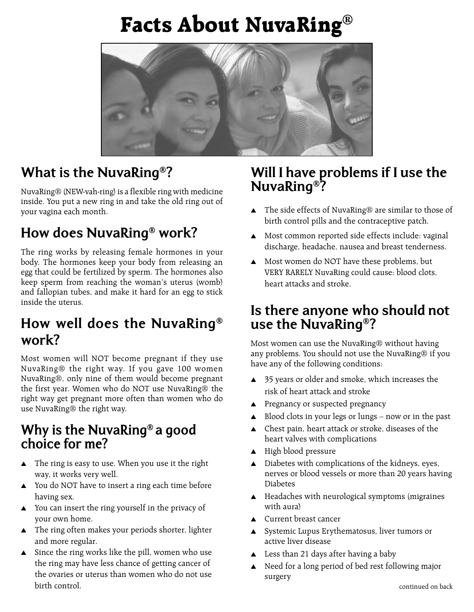# **Facts About NuvaRing®**



### **What is the NuvaRing®?**

NuvaRing® (NEW-vah-ring) is a flexible ring with medicine inside. You put a new ring in and take the old ring out of your vagina each month.

### **How does NuvaRing® work?**

The ring works by releasing female hormones in your body. The hormones keep your body from releasing an egg that could be fertilized by sperm. The hormones also keep sperm from reaching the woman's uterus (womb) and fallopian tubes, and make it hard for an egg to stick inside the uterus.

### **How well does the NuvaRing® work?**

Most women will NOT become pregnant if they use NuvaRing® the right way. If you gave 100 women NuvaRing®, only nine of them would become pregnant the first year. Women who do NOT use NuvaRing® the right way get pregnant more often than women who do use NuvaRing® the right way.

#### **Why is the NuvaRing® a good choice for me?**

- $\triangle$  The ring is easy to use. When you use it the right way, it works very well.
- $\triangle$  You do NOT have to insert a ring each time before having sex.
- $\blacktriangle$  You can insert the ring yourself in the privacy of your own home.
- $\triangle$  The ring often makes your periods shorter, lighter and more regular.
- $\blacktriangle$  Since the ring works like the pill, women who use the ring may have less chance of getting cancer of the ovaries or uterus than women who do not use birth control.

#### **Will I have problems if I use the NuvaRing®?**

- The side effects of NuvaRing® are similar to those of birth control pills and the contraceptive patch.
- A Most common reported side effects include: vaginal discharge, headache, nausea and breast tenderness.
- $\blacktriangle$  Most women do NOT have these problems, but VERY RARELY NuvaRing could cause: blood clots, heart attacks and stroke.

#### **Is there anyone who should not use the NuvaRing®?**

Most women can use the NuvaRing® without having any problems. You should not use the NuvaRing® if you have any of the following conditions:

- 35 years or older and smoke, which increases the risk of heart attack and stroke
- **A** Pregnancy or suspected pregnancy
- $\triangle$  Blood clots in your legs or lungs now or in the past
- $\triangle$  Chest pain, heart attack or stroke, diseases of the heart valves with complications
- $\triangle$  High blood pressure
- $\triangle$  Diabetes with complications of the kidneys, eyes, nerves or blood vessels or more than 20 years having Diabetes
- $\triangle$  Headaches with neurological symptoms (migraines with aura)
- $\triangle$  Current breast cancer
- Systemic Lupus Erythematosus, liver tumors or active liver disease
- Less than 21 days after having a baby
- $\triangle$  Need for a long period of bed rest following major surgery